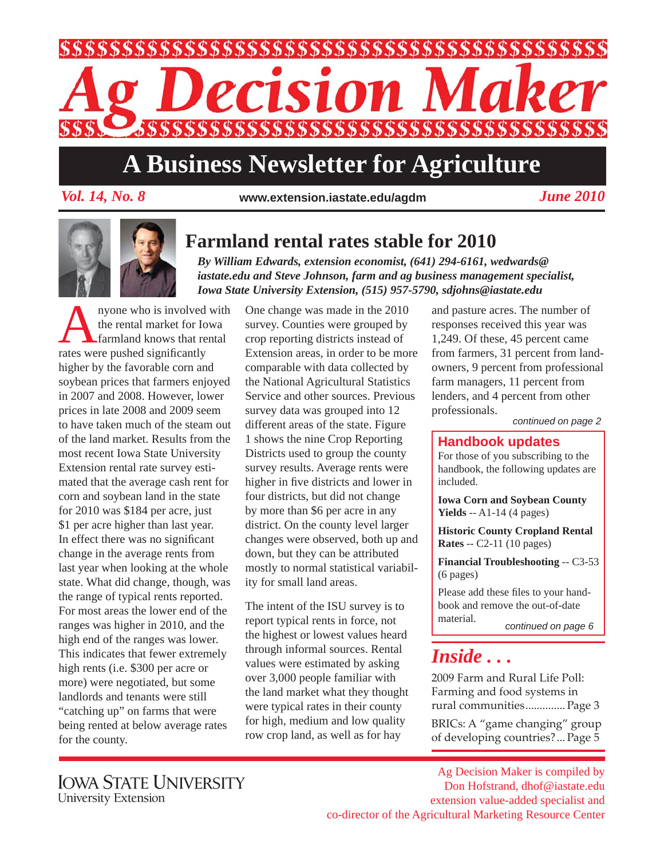

# **A Business Newsletter for Agriculture**

*Vol. 14, No. 8 June 2010* **www.extension.iastate.edu/agdm**



#### **Farmland rental rates stable for 2010**

*By William Edwards, extension economist, (641) 294-6161, wedwards@ iastate.edu and Steve Johnson, farm and ag business management specialist, Iowa State University Extension, (515) 957-5790, sdjohns@iastate.edu*

nyone who is involved with the rental market for Iowa farmland knows that rental rates were pushed significantly higher by the favorable corn and soybean prices that farmers enjoyed in 2007 and 2008. However, lower prices in late 2008 and 2009 seem to have taken much of the steam out of the land market. Results from the most recent Iowa State University Extension rental rate survey estimated that the average cash rent for corn and soybean land in the state for 2010 was \$184 per acre, just \$1 per acre higher than last year. In effect there was no significant change in the average rents from last year when looking at the whole state. What did change, though, was the range of typical rents reported. For most areas the lower end of the ranges was higher in 2010, and the high end of the ranges was lower. This indicates that fewer extremely high rents (i.e. \$300 per acre or more) were negotiated, but some landlords and tenants were still "catching up" on farms that were being rented at below average rates for the county.

One change was made in the 2010 survey. Counties were grouped by crop reporting districts instead of Extension areas, in order to be more comparable with data collected by the National Agricultural Statistics Service and other sources. Previous survey data was grouped into 12 different areas of the state. Figure 1 shows the nine Crop Reporting Districts used to group the county survey results. Average rents were higher in five districts and lower in four districts, but did not change by more than \$6 per acre in any district. On the county level larger changes were observed, both up and down, but they can be attributed mostly to normal statistical variability for small land areas.

The intent of the ISU survey is to report typical rents in force, not the highest or lowest values heard through informal sources. Rental values were estimated by asking over 3,000 people familiar with the land market what they thought were typical rates in their county for high, medium and low quality row crop land, as well as for hay

and pasture acres. The number of responses received this year was 1,249. Of these, 45 percent came from farmers, 31 percent from landowners, 9 percent from professional farm managers, 11 percent from lenders, and 4 percent from other professionals.

*continued on page 2*

#### **Handbook updates**

For those of you subscribing to the handbook, the following updates are included.

**Iowa Corn and Soybean County Yields** -- A1-14 (4 pages)

**Historic County Cropland Rental Rates** -- C2-11 (10 pages)

**Financial Troubleshooting** -- C3-53 (6 pages)

Please add these files to your handbook and remove the out-of-date material. *continued on page 6*

### *Inside . . .*

2009 Farm and Rural Life Poll: Farming and food systems in rural communities .............. Page 3

BRICs: A "game changing" group of developing countries? ... Page 5

Ag Decision Maker is compiled by Don Hofstrand, dhof@iastate.edu extension value-added specialist and co-director of the Agricultural Marketing Resource Center